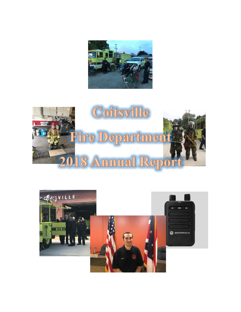



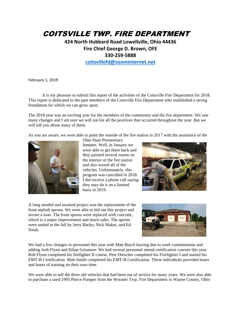## COITSVILLE TWP. FIRE DEPARTMENT

## **424 North Hubbard Road Lowellville, Ohio 44436 Fire Chief George D. Brown, OFE 330-259-5888**

**[coitsvillefd@zoominternet.net](mailto:coitsvillefd@zoominternet.ne)**

February 1, 2019

It is my pleasure to submit this report of the activities of the Coitsville Fire Department for 2018. This report is dedicated to the past members of the Coitsville Fire Department who established a strong foundation for which we can grow upon.

The 2018 year was an exciting year for the members of the community and the fire department. We saw many changes and I am sure we will not list all the positives that occurred throughout the year. But we will tell you about many of them.

As you are aware, we were able to paint the outside of the fire station in 2017 with the assistance of the



Ohio State Penitentiary

Inmates. Well, in January we were able to get them back and they painted several rooms on the interior of the fire station and also waxed all of the vehicles. Unfortunately, this program was cancelled in 2018. I did receive a phone call saying they may do it on a limited basis in 2019.



A long needed and awaited project was the replacement of the front asphalt aprons. We were able to bid out this project and secure a loan. The front aprons were replaced with concrete, which is a major improvement and much safer. The aprons were sealed in the fall by Jerry Backo, Nick Maker, and Ed Sutak.



We had a few changes in personnel this year with Matt Burch leaving due to work commitments and adding Josh Flynn and Ethan Grismore. We had several personnel attend certification courses this year. Rob Flynn completed his firefighter II course, Pete Drescher completed his Firefighter I and started his EMT-B Certification. Matt Smith completed his EMT-B Certification. These individuals provided hours and hours of training on their own time.

We were able to sell the three old vehicles that had been out of service for many years. We were also able to purchase a used 1995 Pierce Pumper from the Wooster Twp. Fire Department in Wayne County, Ohio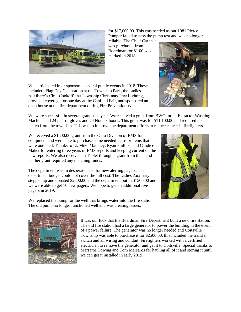

for \$17,000.00. This was needed as our 1981 Pierce Pumper failed to pass the pump test and was no longer

reliable. The Chief Car that was purchased from Boardman for \$1.00 was marked in 2018.



We participated in or sponsored several public events in 2018. These included; Flag Day Celebration at the Township Park, the Ladies Auxiliary's Chili Cookoff, the Township Christmas Tree Lighting, provided coverage for one day at the Canfield Fair, and sponsored an open house at the fire department during Fire Prevention Week.

We were successful in several grants this year. We received a grant from BWC for an Extractor Washing Machine and 24 pair of gloves and 24 Nomex hoods. This grant was for \$11,100.00 and required no match from the township. This was to improve the department efforts to reduce cancer in firefighters.

We received a \$1500.00 grant from the Ohio Division of EMS for equipment and were able to purchase some needed items or items that were outdated. Thanks to Lt. Mike Maloney, Ryan Phillips, and Candice Maker for entering three years of EMS reports and keeping current on the new reports. We also received an Tablet through a grant from them and neither grant required any matching funds.

The department was in desperate need for new alerting pagers. The department budget could not cover the full cost. The Ladies Auxiliary stepped up and donated \$2500.00 and the department put in \$1500.00 and we were able to get 10 new pagers. We hope to get an additional five pagers in 2019.



We replaced the pump for the well that brings water into the fire station. The old pump no longer functioned well and was creating issues.



It was our luck that the Boardman Fire Department built a new fire station. The old fire station had a large generator to power the building in the event of a power failure. The generator was no longer needed and Coitsville Township was able to purchase it for \$2500.00, this included the transfer switch and all wiring and conduit. Firefighters worked with a certified electrician to remove the generator and get it to Coitsville. Special thanks to Mersaros Towing and Tom Mersaros for hauling all of it and storing it until we can get it installed in early 2019.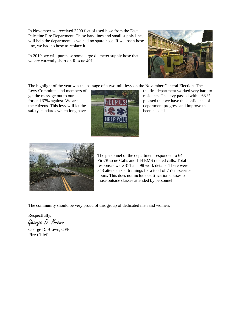In November we received 3200 feet of used hose from the East Palestine Fire Department. These handlines and small supply lines will help the department as we had no spare hose. If we lost a hose line, we had no hose to replace it.

In 2019, we will purchase some large diameter supply hose that we are currently short on Rescue 401.



The highlight of the year was the passage of a two-mill levy on the November General Election. The

safety standards which long have  $\mathbb{R}$  **been needed.** 



Levy Committee and members of **the fire department worked very hard to** get the message out to our residents. The levy passed with a 63 % for and 37% against. We are **pleased that we have the confidence of** the citizens. This levy will let the department progress and improve the



The personnel of the department responded to 64 Fire/Rescue Calls and 144 EMS related calls. Total responses were 371 and 98 work details. There were 343 attendants at trainings for a total of 757 in-service hours. This does not include certification classes or those outside classes attended by personnel.

The community should be very proud of this group of dedicated men and women.

Respectfully,

George D. Brown

George D. Brown, OFE Fire Chief